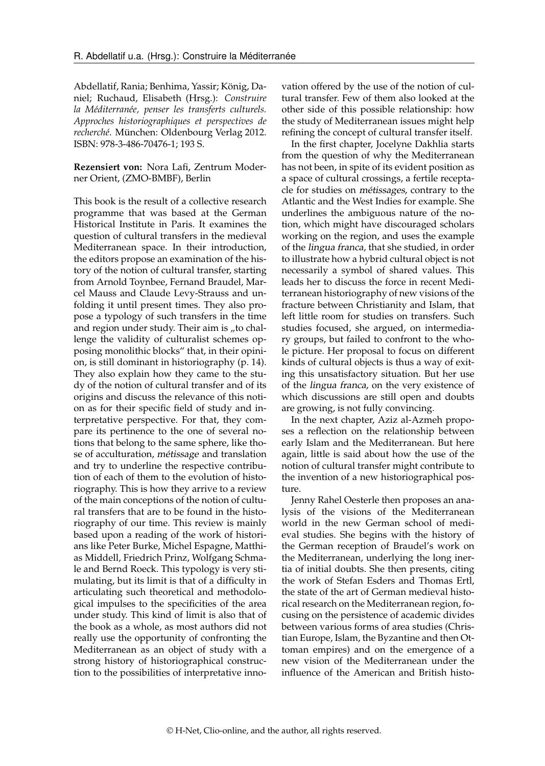Abdellatif, Rania; Benhima, Yassir; König, Daniel; Ruchaud, Elisabeth (Hrsg.): *Construire la Méditerranée, penser les transferts culturels. Approches historiographiques et perspectives de recherché*. München: Oldenbourg Verlag 2012. ISBN: 978-3-486-70476-1; 193 S.

**Rezensiert von:** Nora Lafi, Zentrum Moderner Orient, (ZMO-BMBF), Berlin

This book is the result of a collective research programme that was based at the German Historical Institute in Paris. It examines the question of cultural transfers in the medieval Mediterranean space. In their introduction, the editors propose an examination of the history of the notion of cultural transfer, starting from Arnold Toynbee, Fernand Braudel, Marcel Mauss and Claude Levy-Strauss and unfolding it until present times. They also propose a typology of such transfers in the time and region under study. Their aim is "to challenge the validity of culturalist schemes opposing monolithic blocks" that, in their opinion, is still dominant in historiography (p. 14). They also explain how they came to the study of the notion of cultural transfer and of its origins and discuss the relevance of this notion as for their specific field of study and interpretative perspective. For that, they compare its pertinence to the one of several notions that belong to the same sphere, like those of acculturation, métissage and translation and try to underline the respective contribution of each of them to the evolution of historiography. This is how they arrive to a review of the main conceptions of the notion of cultural transfers that are to be found in the historiography of our time. This review is mainly based upon a reading of the work of historians like Peter Burke, Michel Espagne, Matthias Middell, Friedrich Prinz, Wolfgang Schmale and Bernd Roeck. This typology is very stimulating, but its limit is that of a difficulty in articulating such theoretical and methodological impulses to the specificities of the area under study. This kind of limit is also that of the book as a whole, as most authors did not really use the opportunity of confronting the Mediterranean as an object of study with a strong history of historiographical construction to the possibilities of interpretative innovation offered by the use of the notion of cultural transfer. Few of them also looked at the other side of this possible relationship: how the study of Mediterranean issues might help refining the concept of cultural transfer itself.

In the first chapter, Jocelyne Dakhlia starts from the question of why the Mediterranean has not been, in spite of its evident position as a space of cultural crossings, a fertile receptacle for studies on métissages, contrary to the Atlantic and the West Indies for example. She underlines the ambiguous nature of the notion, which might have discouraged scholars working on the region, and uses the example of the lingua franca, that she studied, in order to illustrate how a hybrid cultural object is not necessarily a symbol of shared values. This leads her to discuss the force in recent Mediterranean historiography of new visions of the fracture between Christianity and Islam, that left little room for studies on transfers. Such studies focused, she argued, on intermediary groups, but failed to confront to the whole picture. Her proposal to focus on different kinds of cultural objects is thus a way of exiting this unsatisfactory situation. But her use of the lingua franca, on the very existence of which discussions are still open and doubts are growing, is not fully convincing.

In the next chapter, Aziz al-Azmeh proposes a reflection on the relationship between early Islam and the Mediterranean. But here again, little is said about how the use of the notion of cultural transfer might contribute to the invention of a new historiographical posture.

Jenny Rahel Oesterle then proposes an analysis of the visions of the Mediterranean world in the new German school of medieval studies. She begins with the history of the German reception of Braudel's work on the Mediterranean, underlying the long inertia of initial doubts. She then presents, citing the work of Stefan Esders and Thomas Ertl, the state of the art of German medieval historical research on the Mediterranean region, focusing on the persistence of academic divides between various forms of area studies (Christian Europe, Islam, the Byzantine and then Ottoman empires) and on the emergence of a new vision of the Mediterranean under the influence of the American and British histo-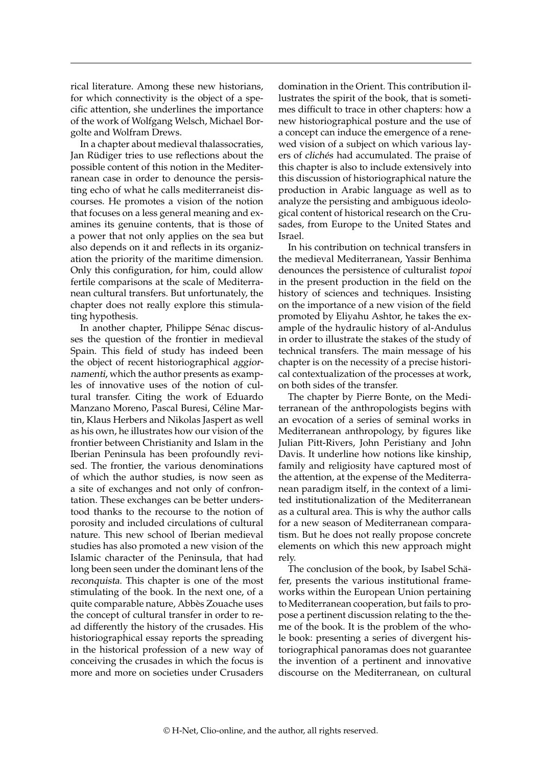rical literature. Among these new historians, for which connectivity is the object of a specific attention, she underlines the importance of the work of Wolfgang Welsch, Michael Borgolte and Wolfram Drews.

In a chapter about medieval thalassocraties, Jan Rüdiger tries to use reflections about the possible content of this notion in the Mediterranean case in order to denounce the persisting echo of what he calls mediterraneist discourses. He promotes a vision of the notion that focuses on a less general meaning and examines its genuine contents, that is those of a power that not only applies on the sea but also depends on it and reflects in its organization the priority of the maritime dimension. Only this configuration, for him, could allow fertile comparisons at the scale of Mediterranean cultural transfers. But unfortunately, the chapter does not really explore this stimulating hypothesis.

In another chapter, Philippe Sénac discusses the question of the frontier in medieval Spain. This field of study has indeed been the object of recent historiographical aggiornamenti, which the author presents as examples of innovative uses of the notion of cultural transfer. Citing the work of Eduardo Manzano Moreno, Pascal Buresi, Céline Martin, Klaus Herbers and Nikolas Jaspert as well as his own, he illustrates how our vision of the frontier between Christianity and Islam in the Iberian Peninsula has been profoundly revised. The frontier, the various denominations of which the author studies, is now seen as a site of exchanges and not only of confrontation. These exchanges can be better understood thanks to the recourse to the notion of porosity and included circulations of cultural nature. This new school of Iberian medieval studies has also promoted a new vision of the Islamic character of the Peninsula, that had long been seen under the dominant lens of the reconquista. This chapter is one of the most stimulating of the book. In the next one, of a quite comparable nature, Abbès Zouache uses the concept of cultural transfer in order to read differently the history of the crusades. His historiographical essay reports the spreading in the historical profession of a new way of conceiving the crusades in which the focus is more and more on societies under Crusaders domination in the Orient. This contribution illustrates the spirit of the book, that is sometimes difficult to trace in other chapters: how a new historiographical posture and the use of a concept can induce the emergence of a renewed vision of a subject on which various layers of clichés had accumulated. The praise of this chapter is also to include extensively into this discussion of historiographical nature the production in Arabic language as well as to analyze the persisting and ambiguous ideological content of historical research on the Crusades, from Europe to the United States and Israel.

In his contribution on technical transfers in the medieval Mediterranean, Yassir Benhima denounces the persistence of culturalist topoi in the present production in the field on the history of sciences and techniques. Insisting on the importance of a new vision of the field promoted by Eliyahu Ashtor, he takes the example of the hydraulic history of al-Andulus in order to illustrate the stakes of the study of technical transfers. The main message of his chapter is on the necessity of a precise historical contextualization of the processes at work, on both sides of the transfer.

The chapter by Pierre Bonte, on the Mediterranean of the anthropologists begins with an evocation of a series of seminal works in Mediterranean anthropology, by figures like Julian Pitt-Rivers, John Peristiany and John Davis. It underline how notions like kinship, family and religiosity have captured most of the attention, at the expense of the Mediterranean paradigm itself, in the context of a limited institutionalization of the Mediterranean as a cultural area. This is why the author calls for a new season of Mediterranean comparatism. But he does not really propose concrete elements on which this new approach might rely.

The conclusion of the book, by Isabel Schäfer, presents the various institutional frameworks within the European Union pertaining to Mediterranean cooperation, but fails to propose a pertinent discussion relating to the theme of the book. It is the problem of the whole book: presenting a series of divergent historiographical panoramas does not guarantee the invention of a pertinent and innovative discourse on the Mediterranean, on cultural